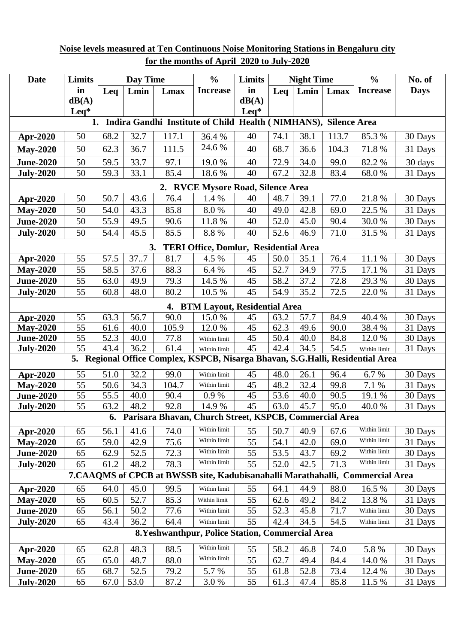| <b>Date</b>                                                                       | Limits           | <b>Day Time</b> |              |              | $\frac{0}{0}$                                          | Limits   | <b>Night Time</b> |              |              | $\frac{0}{0}$   | No. of             |
|-----------------------------------------------------------------------------------|------------------|-----------------|--------------|--------------|--------------------------------------------------------|----------|-------------------|--------------|--------------|-----------------|--------------------|
|                                                                                   | in               | Leq             | Lmin         | Lmax         | <b>Increase</b>                                        | in       | Leq               | Lmin         | Lmax         | <b>Increase</b> | <b>Days</b>        |
|                                                                                   | dB(A)            |                 |              |              |                                                        | dB(A)    |                   |              |              |                 |                    |
|                                                                                   | $\mathbf{L}$ eq* |                 |              |              |                                                        | Leq*     |                   |              |              |                 |                    |
| Indira Gandhi Institute of Child Health (NIMHANS), Silence Area<br>1.             |                  |                 |              |              |                                                        |          |                   |              |              |                 |                    |
| Apr-2020                                                                          | 50               | 68.2            | 32.7         | 117.1        | 36.4 %                                                 | 40       | 74.1              | 38.1         | 113.7        | 85.3%           | 30 Days            |
| <b>May-2020</b>                                                                   | 50               | 62.3            | 36.7         | 111.5        | 24.6 %                                                 | 40       | 68.7              | 36.6         | 104.3        | 71.8%           | 31 Days            |
| <b>June-2020</b>                                                                  | 50               | 59.5            | 33.7         | 97.1         | 19.0%                                                  | 40       | 72.9              | 34.0         | 99.0         | 82.2 %          | 30 days            |
| <b>July-2020</b>                                                                  | 50               | 59.3            | 33.1         | 85.4         | 18.6%                                                  | 40       | 67.2              | 32.8         | 83.4         | 68.0%           | 31 Days            |
| 2. RVCE Mysore Road, Silence Area                                                 |                  |                 |              |              |                                                        |          |                   |              |              |                 |                    |
| Apr-2020                                                                          | 50               | 50.7            | 43.6         | 76.4         | 1.4 %                                                  | 40       | 48.7              | 39.1         | $77.0\,$     | 21.8%           | 30 Days            |
| <b>May-2020</b>                                                                   | 50               | 54.0            | 43.3         | 85.8         | 8.0%                                                   | 40       | 49.0              | 42.8         | 69.0         | 22.5 %          | 31 Days            |
| <b>June-2020</b>                                                                  | 50               | 55.9            | 49.5         | 90.6         | 11.8 %                                                 | 40       | 52.0              | 45.0         | 90.4         | 30.0%           | 30 Days            |
| <b>July-2020</b>                                                                  | 50               | 54.4            | 45.5         | 85.5         | 8.8 %                                                  | 40       | 52.6              | 46.9         | 71.0         | 31.5 %          | 31 Days            |
| <b>TERI Office, Domlur, Residential Area</b><br>3.                                |                  |                 |              |              |                                                        |          |                   |              |              |                 |                    |
| Apr-2020                                                                          | 55               | 57.5            | 37.7         | 81.7         | 4.5 %                                                  | 45       | 50.0              | 35.1         | 76.4         | 11.1 %          | 30 Days            |
| <b>May-2020</b>                                                                   | 55               | 58.5            | 37.6         | 88.3         | 6.4 %                                                  | 45       | 52.7              | 34.9         | 77.5         | 17.1 %          | 31 Days            |
| <b>June-2020</b>                                                                  | 55               | 63.0            | 49.9         | 79.3         | 14.5 %                                                 | 45       | 58.2              | 37.2         | 72.8         | 29.3 %          | 30 Days            |
| <b>July-2020</b>                                                                  | 55               | 60.8            | 48.0         | 80.2         | 10.5 %                                                 | 45       | 54.9              | 35.2         | 72.5         | 22.0%           | 31 Days            |
| 4. BTM Layout, Residential Area                                                   |                  |                 |              |              |                                                        |          |                   |              |              |                 |                    |
| Apr-2020                                                                          | 55               | 63.3            | 56.7         | 90.0         | 15.0%                                                  | 45       | 63.2              | 57.7         | 84.9         | 40.4 %          | 30 Days            |
| <b>May-2020</b>                                                                   | 55               | 61.6            | 40.0         | 105.9        | 12.0%                                                  | 45       | 62.3              | 49.6         | 90.0         | 38.4 %          | 31 Days            |
| <b>June-2020</b>                                                                  | 55               | 52.3            | 40.0         | 77.8         | Within limit                                           | 45       | 50.4              | 40.0         | 84.8         | 12.0%           | 30 Days            |
| <b>July-2020</b>                                                                  | 55               | 43.4            | 36.2         | 61.4         | Within limit                                           | 45       | 42.4              | 34.5         | 54.5         | Within limit    | 31 Days            |
| Regional Office Complex, KSPCB, Nisarga Bhavan, S.G.Halli, Residential Area<br>5. |                  |                 |              |              |                                                        |          |                   |              |              |                 |                    |
| Apr-2020                                                                          | 55               | 51.0            | 32.2         | 99.0         | Within limit                                           | 45       | 48.0              | 26.1         | 96.4         | 6.7%            | 30 Days            |
| <b>May-2020</b>                                                                   | 55               | 50.6            | 34.3         | 104.7        | Within limit                                           | 45       | 48.2              | 32.4         | 99.8         | 7.1 %           | 31 Days            |
| <b>June-2020</b>                                                                  | 55<br>55         | 55.5<br>63.2    | 40.0         | 90.4         | 0.9 %<br>14.9%                                         | 45<br>45 | 53.6              | 40.0         | 90.5         | 19.1 %          | 30 Days            |
| <b>July-2020</b>                                                                  |                  | 6.              | 48.2         | 92.8         | Parisara Bhavan, Church Street, KSPCB, Commercial Area |          | 63.0              | 45.7         | 95.0         | 40.0%           | 31 Days            |
|                                                                                   |                  |                 |              |              | Within limit                                           |          |                   |              |              | Within limit    |                    |
| Apr-2020                                                                          | 65<br>65         | 56.1<br>59.0    | 41.6<br>42.9 | 74.0<br>75.6 | Within limit                                           | 55<br>55 | 50.7<br>54.1      | 40.9<br>42.0 | 67.6<br>69.0 | Within limit    | 30 Days            |
| <b>May-2020</b><br><b>June-2020</b>                                               | 65               | 62.9            | 52.5         | 72.3         | Within limit                                           | 55       | 53.5              | 43.7         | 69.2         | Within limit    | 31 Days<br>30 Days |
| <b>July-2020</b>                                                                  | 65               | 61.2            | 48.2         | 78.3         | Within limit                                           | 55       | 52.0              | 42.5         | 71.3         | Within limit    | 31 Days            |
| 7. CAAQMS of CPCB at BWSSB site, Kadubisanahalli Marathahalli, Commercial Area    |                  |                 |              |              |                                                        |          |                   |              |              |                 |                    |
| Apr-2020                                                                          | 65               | 64.0            | 45.0         | 99.5         | Within limit                                           | 55       | 64.1              | 44.9         | 88.0         | 16.5 %          | 30 Days            |
| <b>May-2020</b>                                                                   | 65               | 60.5            | 52.7         | 85.3         | Within limit                                           | 55       | 62.6              | 49.2         | 84.2         | 13.8 %          | 31 Days            |
| <b>June-2020</b>                                                                  | 65               | 56.1            | 50.2         | 77.6         | Within limit                                           | 55       | 52.3              | 45.8         | 71.7         | Within limit    | 30 Days            |
| <b>July-2020</b>                                                                  | 65               | 43.4            | 36.2         | 64.4         | Within limit                                           | 55       | 42.4              | 34.5         | 54.5         | Within limit    | 31 Days            |
| 8. Yeshwanthpur, Police Station, Commercial Area                                  |                  |                 |              |              |                                                        |          |                   |              |              |                 |                    |
| Apr-2020                                                                          | 65               | 62.8            | 48.3         | 88.5         | Within limit                                           | 55       | 58.2              | 46.8         | 74.0         | 5.8%            | 30 Days            |
| <b>May-2020</b>                                                                   | 65               | 65.0            | 48.7         | 88.0         | Within limit                                           | 55       | 62.7              | 49.4         | 84.4         | 14.0 %          | 31 Days            |
| <b>June-2020</b>                                                                  | 65               | 68.7            | 52.5         | 79.2         | 5.7 %                                                  | 55       | 61.8              | 52.8         | 73.4         | 12.4 %          | 30 Days            |
| <b>July-2020</b>                                                                  | 65               | 67.0            | 53.0         | 87.2         | 3.0%                                                   | 55       | 61.3              | 47.4         | 85.8         | 11.5 %          | 31 Days            |

## **Noise levels measured at Ten Continuous Noise Monitoring Stations in Bengaluru city for the months of April 2020 to July-2020**